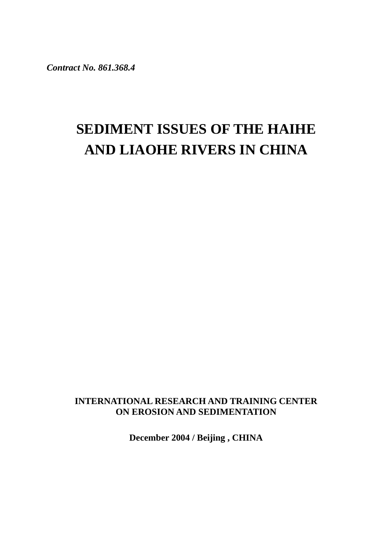*Contract No. 861.368.4* 

# **SEDIMENT ISSUES OF THE HAIHE AND LIAOHE RIVERS IN CHINA**

## **INTERNATIONAL RESEARCH AND TRAINING CENTER ON EROSION AND SEDIMENTATION**

**December 2004 / Beijing , CHINA**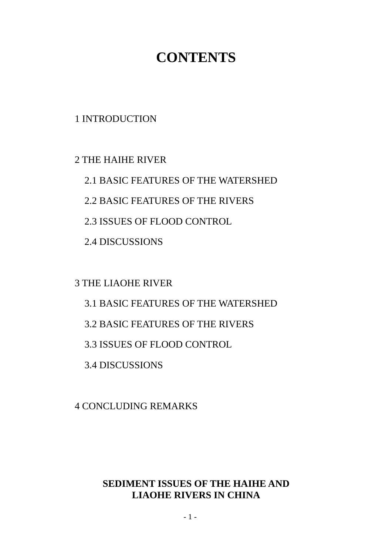# **CONTENTS**

1 INTRODUCTION

2 THE HAIHE RIVER

2.1 BASIC FEATURES OF THE WATERSHED

2.2 BASIC FEATURES OF THE RIVERS

2.3 ISSUES OF FLOOD CONTROL

2.4 DISCUSSIONS

3 THE LIAOHE RIVER

3.1 BASIC FEATURES OF THE WATERSHED

3.2 BASIC FEATURES OF THE RIVERS

3.3 ISSUES OF FLOOD CONTROL

3.4 DISCUSSIONS

4 CONCLUDING REMARKS

## **SEDIMENT ISSUES OF THE HAIHE AND LIAOHE RIVERS IN CHINA**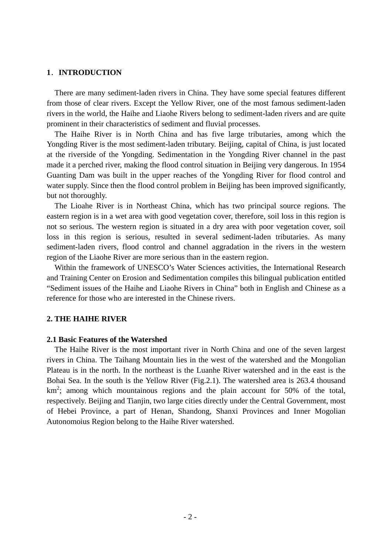#### **1**.**INTRODUCTION**

There are many sediment-laden rivers in China. They have some special features different from those of clear rivers. Except the Yellow River, one of the most famous sediment-laden rivers in the world, the Haihe and Liaohe Rivers belong to sediment-laden rivers and are quite prominent in their characteristics of sediment and fluvial processes.

The Haihe River is in North China and has five large tributaries, among which the Yongding River is the most sediment-laden tributary. Beijing, capital of China, is just located at the riverside of the Yongding. Sedimentation in the Yongding River channel in the past made it a perched river, making the flood control situation in Beijing very dangerous. In 1954 Guanting Dam was built in the upper reaches of the Yongding River for flood control and water supply. Since then the flood control problem in Beijing has been improved significantly, but not thoroughly.

The Lioahe River is in Northeast China, which has two principal source regions. The eastern region is in a wet area with good vegetation cover, therefore, soil loss in this region is not so serious. The western region is situated in a dry area with poor vegetation cover, soil loss in this region is serious, resulted in several sediment-laden tributaries. As many sediment-laden rivers, flood control and channel aggradation in the rivers in the western region of the Liaohe River are more serious than in the eastern region.

Within the framework of UNESCO's Water Sciences activities, the International Research and Training Center on Erosion and Sedimentation compiles this bilingual publication entitled "Sediment issues of the Haihe and Liaohe Rivers in China" both in English and Chinese as a reference for those who are interested in the Chinese rivers.

#### **2. THE HAIHE RIVER**

#### **2.1 Basic Features of the Watershed**

The Haihe River is the most important river in North China and one of the seven largest rivers in China. The Taihang Mountain lies in the west of the watershed and the Mongolian Plateau is in the north. In the northeast is the Luanhe River watershed and in the east is the Bohai Sea. In the south is the Yellow River (Fig.2.1). The watershed area is 263.4 thousand  $km^2$ ; among which mountainous regions and the plain account for 50% of the total, respectively. Beijing and Tianjin, two large cities directly under the Central Government, most of Hebei Province, a part of Henan, Shandong, Shanxi Provinces and Inner Mogolian Autonomoius Region belong to the Haihe River watershed.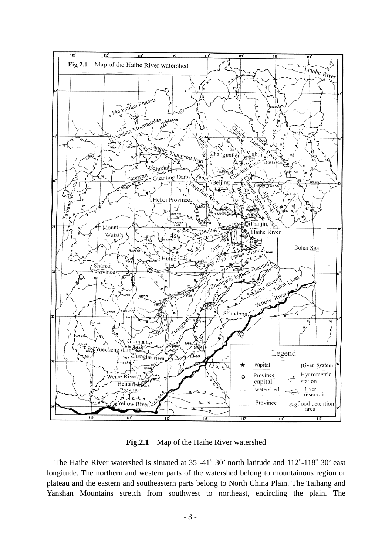

**Fig.2.1** Map of the Haihe River watershed

The Haihe River watershed is situated at  $35^{\circ}$ -41<sup>°</sup> 30' north latitude and  $112^{\circ}$ -118<sup>°</sup> 30' east longitude. The northern and western parts of the watershed belong to mountainous region or plateau and the eastern and southeastern parts belong to North China Plain. The Taihang and Yanshan Mountains stretch from southwest to northeast, encircling the plain. The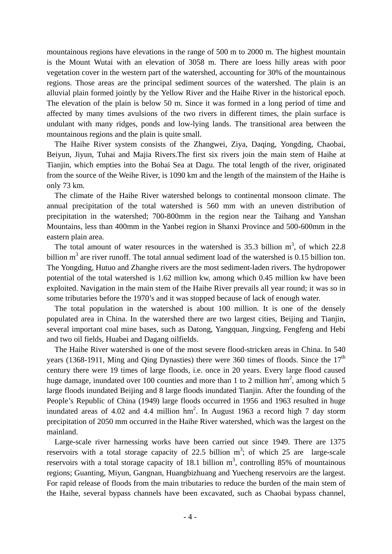mountainous regions have elevations in the range of 500 m to 2000 m. The highest mountain is the Mount Wutai with an elevation of 3058 m. There are loess hilly areas with poor vegetation cover in the western part of the watershed, accounting for 30% of the mountainous regions. Those areas are the principal sediment sources of the watershed. The plain is an alluvial plain formed jointly by the Yellow River and the Haihe River in the historical epoch. The elevation of the plain is below 50 m. Since it was formed in a long period of time and affected by many times avulsions of the two rivers in different times, the plain surface is undulant with many ridges, ponds and low-lying lands. The transitional area between the mountainous regions and the plain is quite small.

The Haihe River system consists of the Zhangwei, Ziya, Daqing, Yongding, Chaobai, Beiyun, Jiyun, Tuhai and Majia Rivers.The first six rivers join the main stem of Haihe at Tianjin, which empties into the Bohai Sea at Dagu. The total length of the river, originated from the source of the Weihe River, is 1090 km and the length of the mainstem of the Haihe is only 73 km.

The climate of the Haihe River watershed belongs to continental monsoon climate. The annual precipitation of the total watershed is 560 mm with an uneven distribution of precipitation in the watershed; 700-800mm in the region near the Taihang and Yanshan Mountains, less than 400mm in the Yanbei region in Shanxi Province and 500-600mm in the eastern plain area.

The total amount of water resources in the watershed is 35.3 billion  $m<sup>3</sup>$ , of which 22.8 billion  $m<sup>3</sup>$  are river runoff. The total annual sediment load of the watershed is 0.15 billion ton. The Yongding, Hutuo and Zhanghe rivers are the most sediment-laden rivers. The hydropower potential of the total watershed is 1.62 million kw, among which 0.45 million kw have been exploited. Navigation in the main stem of the Haihe River prevails all year round; it was so in some tributaries before the 1970's and it was stopped because of lack of enough water.

The total population in the watershed is about 100 million. It is one of the densely populated area in China. In the watershed there are two largest cities, Beijing and Tianjin, several important coal mine bases, such as Datong, Yangquan, Jingxing, Fengfeng and Hebi and two oil fields, Huabei and Dagang oilfields.

The Haihe River watershed is one of the most severe flood-stricken areas in China. In 540 years (1368-1911, Ming and Qing Dynasties) there were 360 times of floods. Since the  $17<sup>th</sup>$ century there were 19 times of large floods, i.e. once in 20 years. Every large flood caused huge damage, inundated over 100 counties and more than 1 to 2 million  $hm^2$ , among which 5 large floods inundated Beijing and 8 large floods inundated Tianjin. After the founding of the People's Republic of China (1949) large floods occurred in 1956 and 1963 resulted in huge inundated areas of 4.02 and 4.4 million  $hm^2$ . In August 1963 a record high 7 day storm precipitation of 2050 mm occurred in the Haihe River watershed, which was the largest on the mainland.

Large-scale river harnessing works have been carried out since 1949. There are 1375 reservoirs with a total storage capacity of 22.5 billion  $m^3$ ; of which 25 are large-scale reservoirs with a total storage capacity of 18.1 billion  $m^3$ , controlling 85% of mountainous regions; Guanting, Miyun, Gangnan, Huangbizhuang and Yuecheng reservoirs are the largest. For rapid release of floods from the main tributaries to reduce the burden of the main stem of the Haihe, several bypass channels have been excavated, such as Chaobai bypass channel,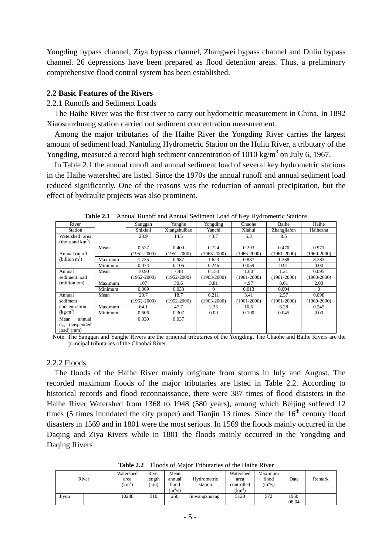Yongding bypass channel, Ziya bypass channel, Zhangwei bypass channel and Duliu bypass channel. 26 depressions have been prepared as flood detention areas. Thus, a preliminary comprehensive flood control system has been established.

## **2.2 Basic Features of the Rivers**

#### 2.2.1 Runoffs and Sediment Loads

The Haihe River was the first river to carry out hydometric measurement in China. In 1892 Xiaosunzhuang station carried out sediment concentration measurement.

Among the major tributaries of the Haihe River the Yongding River carries the largest amount of sediment load. Nantuling Hydrometric Station on the Huliu River, a tributary of the Yongding, measured a record high sediment concentration of  $1010 \text{ kg/m}^3$  on July 6, 1967.

In Table 2.1 the annual runoff and annual sediment load of several key hydrometric stations in the Haihe watershed are listed. Since the 1970s the annual runoff and annual sediment load reduced significantly. One of the reasons was the reduction of annual precipitation, but the effect of hydraulic projects was also prominent.

| River                                |         | Sanggan         | Yanghe          | Yongding        | Chaohe          | Baihe           | Haihe           |
|--------------------------------------|---------|-----------------|-----------------|-----------------|-----------------|-----------------|-----------------|
| Station                              |         | Shixiali        | Xiangshuibao    | Yanchi          | Xiahui          | Zhangjiafen     | Haihezha        |
| Watershed area<br>(thousand $km^2$ ) |         | 23.9            | 14.5            | 43.7            | 5.3             | 8.5             |                 |
|                                      | Mean    | 0.527           | 0.400           | 0.724           | 0.293           | 0.470           | 0.971           |
| Annual runoff                        |         | $(1952 - 2000)$ | $(1952 - 2000)$ | $(1963 - 2000)$ | 1966-2000)      | $(1961 - 2000)$ | $(1960 - 2000)$ |
| (billion m <sup>3</sup> )            | Maximum | 1.735           | 0.987           | 1.623           | 0.887           | 1.338           | 8.283           |
|                                      | Minimum | 0.074           | 0.106           | 0.246           | 0.059           | 0.91            | 0.00            |
| Annual                               | Mean    | 10.90           | 7.48            | 0.153           | 1.00            | 1.21            | 0.095           |
| sediment load                        |         | $(1952 - 2000)$ | $(1952 - 2000)$ | $(1963 - 2000)$ | $(1961 - 2000)$ | $(1961 - 2000)$ | $(1960 - 2000)$ |
| (million ton)                        | Maximum | 107             | 30.6            | 3.81            | 4.97            | 8.01            | 2.03            |
|                                      | Minimum | 0.069           | 0.033           | $\Omega$        | 0.013           | 0.004           | $\Omega$        |
| Annual                               | Mean    | 20.7            | 18.7            | 0.211           | 3.41            | 2.57            | 0.098           |
| sediment                             |         | $(1952 - 2000)$ | $(1952 - 2000)$ | $(1963 - 2000)$ | $(1961 - 2000)$ | $(1961 - 2000)$ | $(1960 - 2000)$ |
| concentration                        | Maximum | 64.1            | 47.7            | 2.35            | 10.6            | 6.28            | 0.245           |
| $(kg/m^3)$                           | Minimum | 0.606           | 0.307           | 0.00            | 0.190           | 0.045           | 0.00            |
| Mean<br>annual                       |         | 0.030           | 0.037           |                 |                 |                 |                 |
| (suspended)<br>$d_{50}$              |         |                 |                 |                 |                 |                 |                 |
| $load)$ (mm)                         |         |                 |                 |                 |                 |                 |                 |

**Table 2.1** Annual Runoff and Annual Sediment Load of Key Hydrometric Stations

Note: The Sanggan and Yanghe Rivers are the principal tributaries of the Yongding. The Chaohe and Baihe Rivers are the principal tributaries of the Chaobai River.

#### 2.2.2 Floods

The floods of the Haihe River mainly originate from storms in July and August. The recorded maximum floods of the major tributaries are listed in Table 2.2. According to historical records and flood reconnaissance, there were 387 times of flood disasters in the Haihe River Watershed from 1368 to 1948 (580 years), among which Beijing suffered 12 times (5 times inundated the city proper) and Tianjin 13 times. Since the  $16<sup>th</sup>$  century flood disasters in 1569 and in 1801 were the most serious. In 1569 the floods mainly occurred in the Daqing and Ziya Rivers while in 1801 the floods mainly occurred in the Yongding and Daqing Rivers

**Table 2.2** Floods of Major Tributaries of the Haihe River

|       | River | Watershed<br>area<br>$(km^2)$ | River<br>length<br>(km | Mean<br>annual<br>flood<br>$(m^3/s)$ | Hydrometric<br>station | Watershed<br>area<br>controlled<br>$(km^2)$ | Maximum<br>flood<br>$(m^3/s)$ | Date           | Remark |
|-------|-------|-------------------------------|------------------------|--------------------------------------|------------------------|---------------------------------------------|-------------------------------|----------------|--------|
| Jivun |       | 10288                         | 310                    | 250                                  | Jiuwangzhuang          | 5120                                        | 572                           | 1950.<br>08.04 |        |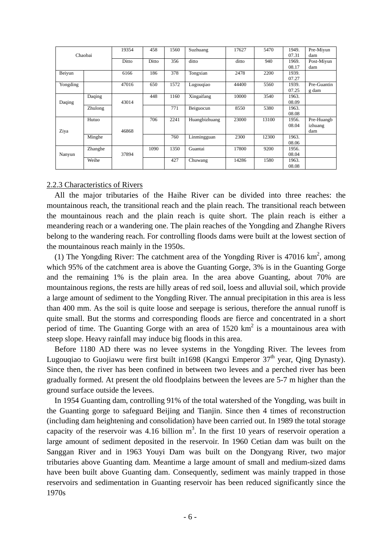|          | Chaobai |       | 458   | 1560 | Suzhuang      | 17627 | 5470  | 1949.<br>07.31 | Pre-Miyun<br>dam |
|----------|---------|-------|-------|------|---------------|-------|-------|----------------|------------------|
|          |         |       | Ditto | 356  | ditto         | ditto | 940   | 1969.<br>08.17 | Post-Miyun       |
| Beiyun   |         | 6166  | 186   | 378  | Tongxian      | 2478  | 2200  | 1939.          | dam              |
|          |         |       |       |      |               |       |       | 07.27          |                  |
| Yongding |         | 47016 | 650   | 1572 | Lugouqiao     | 44400 | 5560  | 1939.          | Pre-Guantin      |
|          |         |       |       |      |               |       |       | 07.25          | g dam            |
|          | Daqing  |       | 448   | 1160 | Xingaifang    | 10000 | 3540  | 1963.          |                  |
| Daqing   |         | 43014 |       |      |               |       |       | 08.09          |                  |
|          | Zhulong |       |       | 771  | Beiguocun     | 8550  | 5380  | 1963.          |                  |
|          |         |       |       |      |               |       |       | 08.08          |                  |
|          | Hutuo   |       | 706   | 2241 | Huangbizhuang | 23000 | 13100 | 1956.          | Pre-Huangb       |
|          |         |       |       |      |               |       |       | 08.04          | izhuang          |
| Ziya     |         | 46868 |       |      |               |       |       |                | dam              |
|          | Minghe  |       |       | 760  | Linmingguan   | 2300  | 12300 | 1963.          |                  |
|          |         |       |       |      |               |       |       | 08.06          |                  |
|          | Zhanghe |       | 1090  | 1350 | Guantai       | 17800 | 9200  | 1956.          |                  |
| Nanyun   |         | 37894 |       |      |               |       |       | 08.04          |                  |
|          | Weihe   |       |       | 427  | Chuwang       | 14286 | 1580  | 1963.          |                  |
|          |         |       |       |      |               |       |       | 08.08          |                  |

#### 2.2.3 Characteristics of Rivers

All the major tributaries of the Haihe River can be divided into three reaches: the mountainous reach, the transitional reach and the plain reach. The transitional reach between the mountainous reach and the plain reach is quite short. The plain reach is either a meandering reach or a wandering one. The plain reaches of the Yongding and Zhanghe Rivers belong to the wandering reach. For controlling floods dams were built at the lowest section of the mountainous reach mainly in the 1950s.

(1) The Yongding River: The catchment area of the Yongding River is  $47016 \text{ km}^2$ , among which 95% of the catchment area is above the Guanting Gorge, 3% is in the Guanting Gorge and the remaining 1% is the plain area. In the area above Guanting, about 70% are mountainous regions, the rests are hilly areas of red soil, loess and alluvial soil, which provide a large amount of sediment to the Yongding River. The annual precipitation in this area is less than 400 mm. As the soil is quite loose and seepage is serious, therefore the annual runoff is quite small. But the storms and corresponding floods are fierce and concentrated in a short period of time. The Guanting Gorge with an area of  $1520 \text{ km}^2$  is a mountainous area with steep slope. Heavy rainfall may induce big floods in this area.

Before 1180 AD there was no levee systems in the Yongding River. The levees from Lugouqiao to Guojiawu were first built in 1698 (Kangxi Emperor  $37<sup>th</sup>$  year, Oing Dynasty). Since then, the river has been confined in between two levees and a perched river has been gradually formed. At present the old floodplains between the levees are 5-7 m higher than the ground surface outside the levees.

In 1954 Guanting dam, controlling 91% of the total watershed of the Yongding, was built in the Guanting gorge to safeguard Beijing and Tianjin. Since then 4 times of reconstruction (including dam heightening and consolidation) have been carried out. In 1989 the total storage capacity of the reservoir was 4.16 billion  $m<sup>3</sup>$ . In the first 10 years of reservoir operation a large amount of sediment deposited in the reservoir. In 1960 Cetian dam was built on the Sanggan River and in 1963 Youyi Dam was built on the Dongyang River, two major tributaries above Guanting dam. Meantime a large amount of small and medium-sized dams have been built above Guanting dam. Consequently, sediment was mainly trapped in those reservoirs and sedimentation in Guanting reservoir has been reduced significantly since the 1970s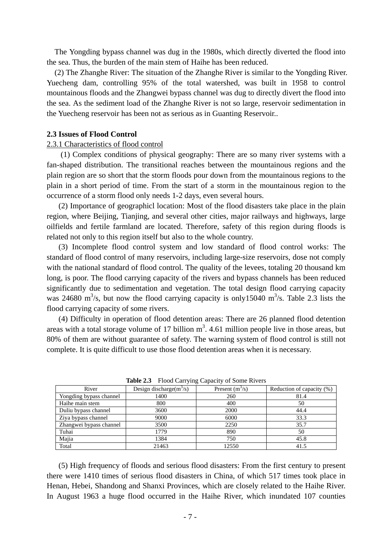The Yongding bypass channel was dug in the 1980s, which directly diverted the flood into the sea. Thus, the burden of the main stem of Haihe has been reduced.

(2) The Zhanghe River: The situation of the Zhanghe River is similar to the Yongding River. Yuecheng dam, controlling 95% of the total watershed, was built in 1958 to control mountainous floods and the Zhangwei bypass channel was dug to directly divert the flood into the sea. As the sediment load of the Zhanghe River is not so large, reservoir sedimentation in the Yuecheng reservoir has been not as serious as in Guanting Reservoir..

#### **2.3 Issues of Flood Control**

#### 2.3.1 Characteristics of flood control

(1) Complex conditions of physical geography: There are so many river systems with a fan-shaped distribution. The transitional reaches between the mountainous regions and the plain region are so short that the storm floods pour down from the mountainous regions to the plain in a short period of time. From the start of a storm in the mountainous region to the occurrence of a storm flood only needs 1-2 days, even several hours.

(2) Importance of geographicl location: Most of the flood disasters take place in the plain region, where Beijing, Tianjing, and several other cities, major railways and highways, large oilfields and fertile farmland are located. Therefore, safety of this region during floods is related not only to this region itself but also to the whole country.

(3) Incomplete flood control system and low standard of flood control works: The standard of flood control of many reservoirs, including large-size reservoirs, dose not comply with the national standard of flood control. The quality of the levees, totaling 20 thousand km long, is poor. The flood carrying capacity of the rivers and bypass channels has been reduced significantly due to sedimentation and vegetation. The total design flood carrying capacity was 24680 m<sup>3</sup>/s, but now the flood carrying capacity is only15040 m<sup>3</sup>/s. Table 2.3 lists the flood carrying capacity of some rivers.

(4) Difficulty in operation of flood detention areas: There are 26 planned flood detention areas with a total storage volume of 17 billion  $m<sup>3</sup>$ . 4.61 million people live in those areas, but 80% of them are without guarantee of safety. The warning system of flood control is still not complete. It is quite difficult to use those flood detention areas when it is necessary.

| River                   | Design discharge $(m^3/s)$ | Present $(m^3/s)$ | Reduction of capacity (%) |  |  |  |  |  |  |  |
|-------------------------|----------------------------|-------------------|---------------------------|--|--|--|--|--|--|--|
| Yongding bypass channel | 1400                       | 260               | 81.4                      |  |  |  |  |  |  |  |
| Haihe main stem         | 800                        | 400               | 50                        |  |  |  |  |  |  |  |
| Duliu bypass channel    | 3600                       | 2000              | 44.4                      |  |  |  |  |  |  |  |
| Ziya bypass channel     | 9000                       | 6000              | 33.3                      |  |  |  |  |  |  |  |
| Zhangwei bypass channel | 3500                       | 2250              | 35.7                      |  |  |  |  |  |  |  |
| Tuhai                   | 1779                       | 890               | 50                        |  |  |  |  |  |  |  |
| Majia                   | 1384                       | 750               | 45.8                      |  |  |  |  |  |  |  |
| Total                   | 21463                      | 12550             | 41.5                      |  |  |  |  |  |  |  |

**Table 2.3** Flood Carrying Capacity of Some Rivers

(5) High frequency of floods and serious flood disasters: From the first century to present there were 1410 times of serious flood disasters in China, of which 517 times took place in Henan, Hebei, Shandong and Shanxi Provinces, which are closely related to the Haihe River. In August 1963 a huge flood occurred in the Haihe River, which inundated 107 counties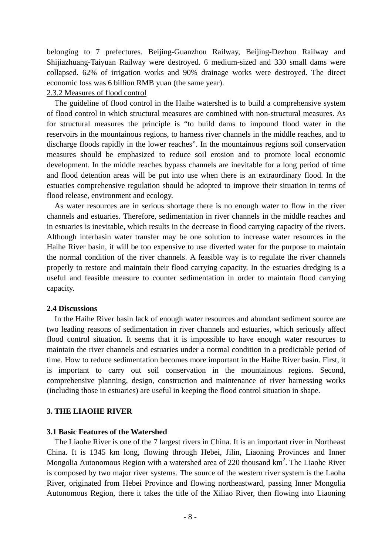belonging to 7 prefectures. Beijing-Guanzhou Railway, Beijing-Dezhou Railway and Shijiazhuang-Taiyuan Railway were destroyed. 6 medium-sized and 330 small dams were collapsed. 62% of irrigation works and 90% drainage works were destroyed. The direct economic loss was 6 billion RMB yuan (the same year).

#### 2.3.2 Measures of flood control

The guideline of flood control in the Haihe watershed is to build a comprehensive system of flood control in which structural measures are combined with non-structural measures. As for structural measures the principle is "to build dams to impound flood water in the reservoirs in the mountainous regions, to harness river channels in the middle reaches, and to discharge floods rapidly in the lower reaches". In the mountainous regions soil conservation measures should be emphasized to reduce soil erosion and to promote local economic development. In the middle reaches bypass channels are inevitable for a long period of time and flood detention areas will be put into use when there is an extraordinary flood. In the estuaries comprehensive regulation should be adopted to improve their situation in terms of flood release, environment and ecology.

As water resources are in serious shortage there is no enough water to flow in the river channels and estuaries. Therefore, sedimentation in river channels in the middle reaches and in estuaries is inevitable, which results in the decrease in flood carrying capacity of the rivers. Although interbasin water transfer may be one solution to increase water resources in the Haihe River basin, it will be too expensive to use diverted water for the purpose to maintain the normal condition of the river channels. A feasible way is to regulate the river channels properly to restore and maintain their flood carrying capacity. In the estuaries dredging is a useful and feasible measure to counter sedimentation in order to maintain flood carrying capacity.

#### **2.4 Discussions**

In the Haihe River basin lack of enough water resources and abundant sediment source are two leading reasons of sedimentation in river channels and estuaries, which seriously affect flood control situation. It seems that it is impossible to have enough water resources to maintain the river channels and estuaries under a normal condition in a predictable period of time. How to reduce sedimentation becomes more important in the Haihe River basin. First, it is important to carry out soil conservation in the mountainous regions. Second, comprehensive planning, design, construction and maintenance of river harnessing works (including those in estuaries) are useful in keeping the flood control situation in shape.

#### **3. THE LIAOHE RIVER**

#### **3.1 Basic Features of the Watershed**

The Liaohe River is one of the 7 largest rivers in China. It is an important river in Northeast China. It is 1345 km long, flowing through Hebei, Jilin, Liaoning Provinces and Inner Mongolia Autonomous Region with a watershed area of 220 thousand  $km^2$ . The Liaohe River is composed by two major river systems. The source of the western river system is the Laoha River, originated from Hebei Province and flowing northeastward, passing Inner Mongolia Autonomous Region, there it takes the title of the Xiliao River, then flowing into Liaoning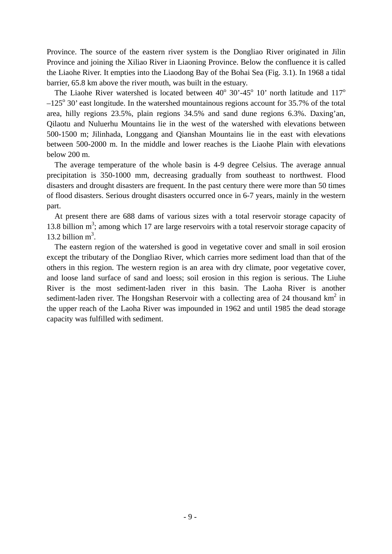Province. The source of the eastern river system is the Dongliao River originated in Jilin Province and joining the Xiliao River in Liaoning Province. Below the confluence it is called the Liaohe River. It empties into the Liaodong Bay of the Bohai Sea (Fig. 3.1). In 1968 a tidal barrier, 65.8 km above the river mouth, was built in the estuary.

The Liaohe River watershed is located between  $40^{\circ}$  30'-45<sup>o</sup> 10' north latitude and 117<sup>o</sup>  $-125^{\circ}$  30' east longitude. In the watershed mountainous regions account for 35.7% of the total area, hilly regions 23.5%, plain regions 34.5% and sand dune regions 6.3%. Daxing'an, Qilaotu and Nuluerhu Mountains lie in the west of the watershed with elevations between 500-1500 m; Jilinhada, Longgang and Qianshan Mountains lie in the east with elevations between 500-2000 m. In the middle and lower reaches is the Liaohe Plain with elevations below 200 m.

The average temperature of the whole basin is 4-9 degree Celsius. The average annual precipitation is 350-1000 mm, decreasing gradually from southeast to northwest. Flood disasters and drought disasters are frequent. In the past century there were more than 50 times of flood disasters. Serious drought disasters occurred once in 6-7 years, mainly in the western part.

At present there are 688 dams of various sizes with a total reservoir storage capacity of 13.8 billion  $m^3$ ; among which 17 are large reservoirs with a total reservoir storage capacity of 13.2 billion  $m^3$ .

The eastern region of the watershed is good in vegetative cover and small in soil erosion except the tributary of the Dongliao River, which carries more sediment load than that of the others in this region. The western region is an area with dry climate, poor vegetative cover, and loose land surface of sand and loess; soil erosion in this region is serious. The Liuhe River is the most sediment-laden river in this basin. The Laoha River is another sediment-laden river. The Hongshan Reservoir with a collecting area of 24 thousand  $km^2$  in the upper reach of the Laoha River was impounded in 1962 and until 1985 the dead storage capacity was fulfilled with sediment.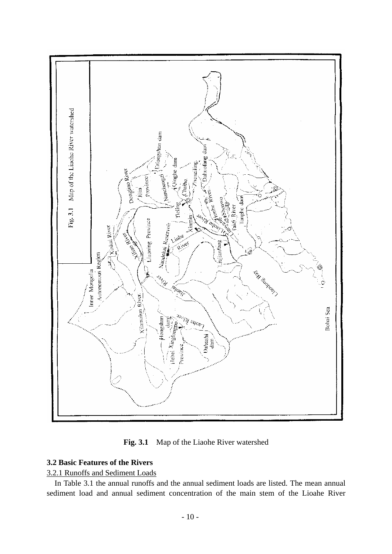

**Fig. 3.1** Map of the Liaohe River watershed

## **3.2 Basic Features of the Rivers**

## 3.2.1 Runoffs and Sediment Loads

In Table 3.1 the annual runoffs and the annual sediment loads are listed. The mean annual sediment load and annual sediment concentration of the main stem of the Lioahe River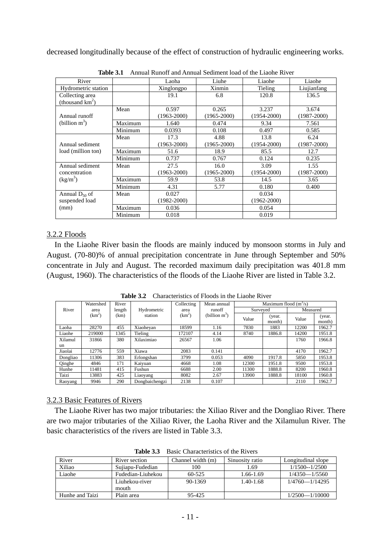decreased longitudinally because of the effect of construction of hydraulic engineering works.

| River               |         | Laoha           | Liuhe           | Liaohe          | Liaohe          |
|---------------------|---------|-----------------|-----------------|-----------------|-----------------|
| Hydrometric station |         | Xinglongpo      | Xinmin          | Tieling         | Liujianfang     |
| Collecting area     |         | 19.1            | 6.8             | 120.8           | 136.5           |
| (thousand $km^2$ )  |         |                 |                 |                 |                 |
|                     | Mean    | 0.597           | 0.265           | 3.237           | 3.674           |
| Annual runoff       |         | $(1963 - 2000)$ | $(1965 - 2000)$ | $(1954 - 2000)$ | $(1987 - 2000)$ |
| (billion $m^3$ )    | Maximum | 1.640           | 0.474           | 9.34            | 7.561           |
|                     | Minimum | 0.0393          | 0.108           | 0.497           | 0.585           |
|                     | Mean    | 17.3            | 4.88            | 13.8            | 6.24            |
| Annual sediment     |         | $(1963 - 2000)$ | $(1965 - 2000)$ | $(1954 - 2000)$ | $(1987 - 2000)$ |
| load (million ton)  | Maximum | 51.6            | 18.9            | 85.5            | 12.7            |
|                     | Minimum | 0.737           | 0.767           | 0.124           | 0.235           |
| Annual sediment     | Mean    | 27.5            | 16.0            | 3.09            | 1.55            |
| concentration       |         | $(1963 - 2000)$ | $(1965 - 2000)$ | $(1954 - 2000)$ | $(1987 - 2000)$ |
| $(kg/m^3)$          | Maximum | 59.9            | 53.8            | 14.5            | 3.65            |
|                     | Minimum | 4.31            | 5.77            | 0.180           | 0.400           |
| Annual $D_{50}$ of  | Mean    | 0.027           |                 | 0.034           |                 |
| suspended load      |         | $(1982 - 2000)$ |                 | $(1962 - 2000)$ |                 |
| (mm)                | Maximum | 0.036           |                 | 0.054           |                 |
|                     | Minimum | 0.018           |                 | 0.019           |                 |

**Table 3.1** Annual Runoff and Annual Sediment load of the Liaohe River

## 3.2.2 Floods

In the Liaohe River basin the floods are mainly induced by monsoon storms in July and August. (70-80)% of annual precipitation concentrate in June through September and 50% concentrate in July and August. The recorded maximum daily precipitation was 401.8 mm (August, 1960). The characteristics of the floods of the Liaohe River are listed in Table 3.2.

| Watershed |          | River  |                | Collecting         | Mean annual      |          | Maximum flood $(m3/s)$ |          |                  |
|-----------|----------|--------|----------------|--------------------|------------------|----------|------------------------|----------|------------------|
| River     | area     | length | Hydrometric    | area               | runoff           | Surveyed |                        | Measured |                  |
|           | $(km^2)$ | (km)   | station        | (km <sup>2</sup> ) | (billion $m^3$ ) | Value    | (year.<br>month)       | Value    | (year.<br>month) |
| Laoha     | 28270    | 455    | Xiaoheyan      | 18599              | 1.16             | 7830     | 1883                   | 12200    | 1962.7           |
| Liaohe    | 219000   | 1345   | Tieling        | 172107             | 4.14             | 8740     | 1886.8                 | 14200    | 1951.8           |
| Xilamul   | 31866    | 380    | Xilaximiao     | 26567              | 1.06             |          |                        | 1760     | 1966.8           |
| un        |          |        |                |                    |                  |          |                        |          |                  |
| Jiaolai   | 12776    | 559    | Xiawa          | 2083               | 0.141            |          |                        | 4170     | 1962.7           |
| Dongliao  | 11306    | 383    | Erlongshan     | 3799               | 0.053            | 4090     | 1917.8                 | 5850     | 1953.8           |
| Qinghe    | 4846     | 171    | Kaiyuan        | 4668               | 1.08             | 12300    | 1951.8                 | 9500     | 1953.8           |
| Hunhe     | 11481    | 415    | Fushun         | 6688               | 2.00             | 11300    | 1888.8                 | 8200     | 1960.8           |
| Taizi     | 13883    | 425    | Liaoyang       | 8082               | 2.67             | 13900    | 1888.8                 | 18100    | 1960.8           |
| Raoyang   | 9946     | 290    | Dongbaichengzi | 2138               | 0.107            |          |                        | 2110     | 1962.7           |

**Table 3.2** Characteristics of Floods in the Liaohe River

## 3.2.3 Basic Features of Rivers

The Liaohe River has two major tributaries: the Xiliao River and the Dongliao River. There are two major tributaries of the Xiliao River, the Laoha River and the Xilamulun River. The basic characteristics of the rivers are listed in Table 3.3.

| River           | River section           | Channel width (m) | Sinuosity ratio | Longitudinal slope |
|-----------------|-------------------------|-------------------|-----------------|--------------------|
| Xiliao          | Sujiapu-Fudedian        | 100               | 1.69            | $1/1500 - 1/2500$  |
| Liaohe          | Fudedian-Liuhekou       | $60 - 525$        | 1.66-1.69       | $1/4350 - 1/5560$  |
|                 | Liuhekou-river<br>mouth | 90-1369           | $1.40 - 1.68$   | $1/4760 - 1/14295$ |
| Hunhe and Taizi | Plain area              | 95-425            |                 | $1/2500 - 1/10000$ |

**Table 3.3** Basic Characteristics of the Rivers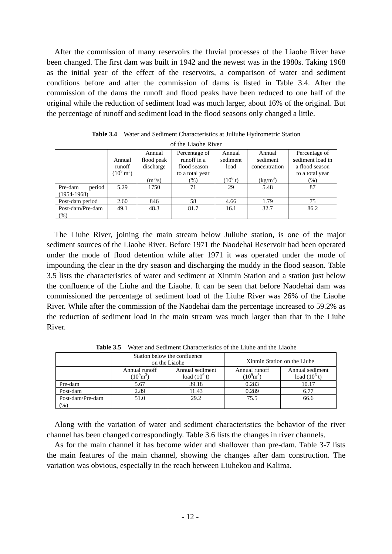After the commission of many reservoirs the fluvial processes of the Liaohe River have been changed. The first dam was built in 1942 and the newest was in the 1980s. Taking 1968 as the initial year of the effect of the reservoirs, a comparison of water and sediment conditions before and after the commission of dams is listed in Table 3.4. After the commission of the dams the runoff and flood peaks have been reduced to one half of the original while the reduction of sediment load was much larger, about 16% of the original. But the percentage of runoff and sediment load in the flood seasons only changed a little.

| of the Liaohe River                  |                                             |                                   |                                                                 |                            |                                     |                                                                        |  |  |  |  |
|--------------------------------------|---------------------------------------------|-----------------------------------|-----------------------------------------------------------------|----------------------------|-------------------------------------|------------------------------------------------------------------------|--|--|--|--|
|                                      | Annual<br>runoff<br>$(10^9 \,\mathrm{m}^3)$ | Annual<br>flood peak<br>discharge | Percentage of<br>runoff in a<br>flood season<br>to a total year | Annual<br>sediment<br>load | Annual<br>sediment<br>concentration | Percentage of<br>sediment load in<br>a flood season<br>to a total year |  |  |  |  |
|                                      |                                             | $(m^3/s)$                         | $(\% )$                                                         | $(10^6 t)$                 | $(kg/m^3)$                          | $(\% )$                                                                |  |  |  |  |
| period<br>Pre-dam<br>$(1954 - 1968)$ | 5.29                                        | 1750                              | 71                                                              | 29                         | 5.48                                | 87                                                                     |  |  |  |  |
| Post-dam period                      | 2.60                                        | 846                               | 58                                                              | 4.66                       | 1.79                                | 75                                                                     |  |  |  |  |
| Post-dam/Pre-dam<br>(%)              | 49.1                                        | 48.3                              | 81.7                                                            | 16.1                       | 32.7                                | 86.2                                                                   |  |  |  |  |

**Table 3.4** Water and Sediment Characteristics at Juliuhe Hydrometric Station

The Liuhe River, joining the main stream below Juliuhe station, is one of the major sediment sources of the Liaohe River. Before 1971 the Naodehai Reservoir had been operated under the mode of flood detention while after 1971 it was operated under the mode of impounding the clear in the dry season and discharging the muddy in the flood season. Table 3.5 lists the characteristics of water and sediment at Xinmin Station and a station just below the confluence of the Liuhe and the Liaohe. It can be seen that before Naodehai dam was commissioned the percentage of sediment load of the Liuhe River was 26% of the Liaohe River. While after the commission of the Naodehai dam the percentage increased to 59.2% as the reduction of sediment load in the main stream was much larger than that in the Liuhe River.

|                            |                                                                              | Station below the confluence<br>on the Liaohe | Xinmin Station on the Liuhe            |                                    |  |
|----------------------------|------------------------------------------------------------------------------|-----------------------------------------------|----------------------------------------|------------------------------------|--|
|                            | Annual sediment<br>Annual runoff<br>$(10^{9} \text{m}^3)$<br>load $(10^6 t)$ |                                               | Annual runoff<br>$(10^{9} \text{m}^3)$ | Annual sediment<br>load $(10^6 t)$ |  |
| Pre-dam                    | 5.67                                                                         | 39.18                                         | 0.283                                  | 10.17                              |  |
| Post-dam                   | 2.89                                                                         | 11.43                                         | 0.289                                  | 6.77                               |  |
| Post-dam/Pre-dam<br>$(\%)$ | 29.2<br>51.0                                                                 |                                               | 75.5                                   | 66.6                               |  |

Table 3.5 Water and Sediment Characteristics of the Liuhe and the Liaohe

Along with the variation of water and sediment characteristics the behavior of the river channel has been changed correspondingly. Table 3.6 lists the changes in river channels.

As for the main channel it has become wider and shallower than pre-dam. Table 3-7 lists the main features of the main channel, showing the changes after dam construction. The variation was obvious, especially in the reach between Liuhekou and Kalima.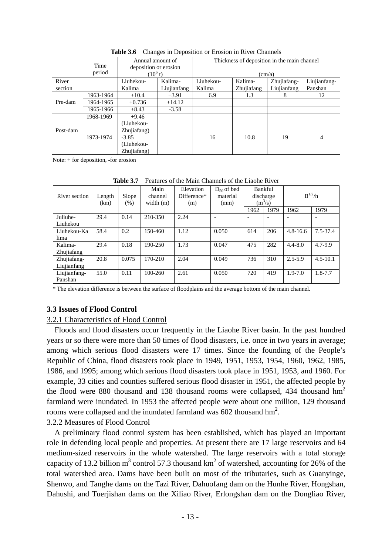|          |           | Annual amount of                    |             |           |            | Thickness of deposition in the main channel |                |  |  |  |
|----------|-----------|-------------------------------------|-------------|-----------|------------|---------------------------------------------|----------------|--|--|--|
|          | Time      | deposition or erosion<br>$(10^6 t)$ |             |           |            |                                             |                |  |  |  |
|          | period    |                                     |             |           | (cm/a)     |                                             |                |  |  |  |
| River    |           | Liuhekou-<br>Kalima-                |             | Liuhekou- | Kalima-    | Zhujiafang-                                 | Liujianfang-   |  |  |  |
| section  |           | Kalima                              | Liujianfang | Kalima    | Zhujiafang | Liujianfang                                 | Panshan        |  |  |  |
|          | 1963-1964 | $+10.4$                             | $+3.91$     | 6.9       | 1.3        | 8                                           | 12             |  |  |  |
| Pre-dam  | 1964-1965 | $+0.736$                            | $+14.12$    |           |            |                                             |                |  |  |  |
|          | 1965-1966 | $+8.43$                             | $-3.58$     |           |            |                                             |                |  |  |  |
|          | 1968-1969 | $+9.46$                             |             |           |            |                                             |                |  |  |  |
|          |           | (Liuhekou-                          |             |           |            |                                             |                |  |  |  |
| Post-dam |           | Zhujiafang)                         |             |           |            |                                             |                |  |  |  |
|          | 1973-1974 | $-3.85$                             |             | 16        | 10.8       | 19                                          | $\overline{4}$ |  |  |  |
|          |           | (Liuhekou-                          |             |           |            |                                             |                |  |  |  |
|          |           | Zhujiafang)                         |             |           |            |                                             |                |  |  |  |

Table 3.6 Changes in Deposition or Erosion in River Channels

Note: + for deposition, -for erosion

| Tavit J.I     |                |               | т сапися от піс іманії сліаннсьми піс гламіс імусі |                                 |                                     |         |                        |              |                          |
|---------------|----------------|---------------|----------------------------------------------------|---------------------------------|-------------------------------------|---------|------------------------|--------------|--------------------------|
| River section | Length<br>(km) | Slope<br>(% ) | Main<br>channel<br>width $(m)$                     | Elevation<br>Difference*<br>(m) | $D_{50}$ of bed<br>material<br>(mm) | Bankful | discharge<br>$(m^3/s)$ | $B^{1/2}/h$  |                          |
|               |                |               |                                                    |                                 |                                     | 1962    | 1979                   | 1962         | 1979                     |
| Juliuhe-      | 29.4           | 0.14          | 210-350                                            | 2.24                            |                                     |         |                        |              | $\overline{\phantom{a}}$ |
| Liuhekou      |                |               |                                                    |                                 |                                     |         |                        |              |                          |
| Liuhekou-Ka   | 58.4           | 0.2           | 150-460                                            | 1.12                            | 0.050                               | 614     | 206                    | $4.8 - 16.6$ | $7.5 - 37.4$             |
| lima          |                |               |                                                    |                                 |                                     |         |                        |              |                          |
| Kalima-       | 29.4           | 0.18          | 190-250                                            | 1.73                            | 0.047                               | 475     | 282                    | $4.4 - 8.0$  | $4.7 - 9.9$              |
| Zhujiafang    |                |               |                                                    |                                 |                                     |         |                        |              |                          |
| Zhujiafang-   | 20.8           | 0.075         | 170-210                                            | 2.04                            | 0.049                               | 736     | 310                    | $2.5 - 5.9$  | $4.5 - 10.1$             |
| Liujianfang   |                |               |                                                    |                                 |                                     |         |                        |              |                          |
| Liujianfang-  | 55.0           | 0.11          | $100 - 260$                                        | 2.61                            | 0.050                               | 720     | 419                    | $1.9 - 7.0$  | $1.8 - 7.7$              |
| Panshan       |                |               |                                                    |                                 |                                     |         |                        |              |                          |

**Table 3.7** Features of the Main Channels of the Liaohe River

\* The elevation difference is between the surface of floodplains and the average bottom of the main channel.

## **3.3 Issues of Flood Control**

## 3.2.1 Characteristics of Flood Control

Floods and flood disasters occur frequently in the Liaohe River basin. In the past hundred years or so there were more than 50 times of flood disasters, i.e. once in two years in average; among which serious flood disasters were 17 times. Since the founding of the People's Republic of China, flood disasters took place in 1949, 1951, 1953, 1954, 1960, 1962, 1985, 1986, and 1995; among which serious flood disasters took place in 1951, 1953, and 1960. For example, 33 cities and counties suffered serious flood disaster in 1951, the affected people by the flood were 880 thousand and 138 thousand rooms were collapsed, 434 thousand  $hm<sup>2</sup>$ farmland were inundated. In 1953 the affected people were about one million, 129 thousand rooms were collapsed and the inundated farmland was  $602$  thousand hm<sup>2</sup>.

## 3.2.2 Measures of Flood Control

A preliminary flood control system has been established, which has played an important role in defending local people and properties. At present there are 17 large reservoirs and 64 medium-sized reservoirs in the whole watershed. The large reservoirs with a total storage capacity of 13.2 billion m<sup>3</sup> control 57.3 thousand km<sup>2</sup> of watershed, accounting for 26% of the total watershed area. Dams have been built on most of the tributaries, such as Guanyinge, Shenwo, and Tanghe dams on the Tazi River, Dahuofang dam on the Hunhe River, Hongshan, Dahushi, and Tuerjishan dams on the Xiliao River, Erlongshan dam on the Dongliao River,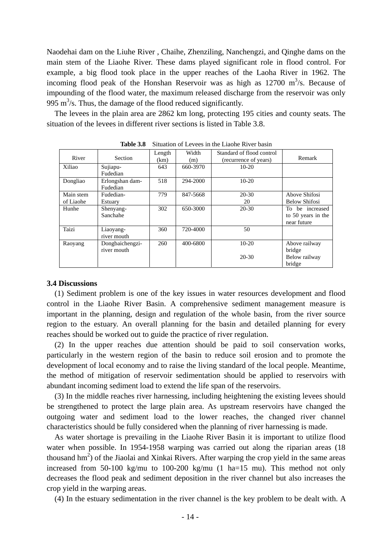Naodehai dam on the Liuhe River , Chaihe, Zhenziling, Nanchengzi, and Qinghe dams on the main stem of the Liaohe River. These dams played significant role in flood control. For example, a big flood took place in the upper reaches of the Laoha River in 1962. The incoming flood peak of the Honshan Reservoir was as high as  $12700 \text{ m}^3/\text{s}$ . Because of impounding of the flood water, the maximum released discharge from the reservoir was only 995 m<sup>3</sup>/s. Thus, the damage of the flood reduced significantly.

The levees in the plain area are 2862 km long, protecting 195 cities and county seats. The situation of the levees in different river sections is listed in Table 3.8.

|           |                 |        | оншигчи от детесь ні чи днопе кітег бизні |                           |                      |
|-----------|-----------------|--------|-------------------------------------------|---------------------------|----------------------|
|           |                 | Length | Width                                     | Standard of flood control |                      |
| River     | Section         | (km)   | (m)                                       | (recurrence of years)     | Remark               |
| Xiliao    | Sujiapu-        | 643    | 660-3970                                  | $10-20$                   |                      |
|           | Fudedian        |        |                                           |                           |                      |
| Dongliao  | Erlongshan dam- | 518    | 294-2000                                  | $10-20$                   |                      |
|           | Fudedian        |        |                                           |                           |                      |
| Main stem | Fudedian-       | 779    | 847-5668                                  | $20 - 30$                 | Above Shifosi        |
| of Liaohe | Estuary         |        |                                           | 20                        | <b>Below Shifosi</b> |
| Hunhe     | Shenyang-       | 302    | 650-3000                                  | $20-30$                   | To be increased      |
|           | Sanchahe        |        |                                           |                           | to 50 years in the   |
|           |                 |        |                                           |                           | near future          |
| Taizi     | Liaoyang-       | 360    | 720-4000                                  | 50                        |                      |
|           | river mouth     |        |                                           |                           |                      |
| Raoyang   | Dongbaichengzi- | 260    | 400-6800                                  | $10-20$                   | Above railway        |
|           | river mouth     |        |                                           |                           | bridge               |
|           |                 |        |                                           | 20-30                     | Below railway        |
|           |                 |        |                                           |                           | bridge               |

**Table 3.8** Situation of Levees in the Liaohe River basin

## **3.4 Discussions**

(1) Sediment problem is one of the key issues in water resources development and flood control in the Liaohe River Basin. A comprehensive sediment management measure is important in the planning, design and regulation of the whole basin, from the river source region to the estuary. An overall planning for the basin and detailed planning for every reaches should be worked out to guide the practice of river regulation.

(2) In the upper reaches due attention should be paid to soil conservation works, particularly in the western region of the basin to reduce soil erosion and to promote the development of local economy and to raise the living standard of the local people. Meantime, the method of mitigation of reservoir sedimentation should be applied to reservoirs with abundant incoming sediment load to extend the life span of the reservoirs.

(3) In the middle reaches river harnessing, including heightening the existing levees should be strengthened to protect the large plain area. As upstream reservoirs have changed the outgoing water and sediment load to the lower reaches, the changed river channel characteristics should be fully considered when the planning of river harnessing is made.

As water shortage is prevailing in the Liaohe River Basin it is important to utilize flood water when possible. In 1954-1958 warping was carried out along the riparian areas (18 thousand  $hm<sup>2</sup>$ ) of the Jiaolai and Xinkai Rivers. After warping the crop yield in the same areas increased from 50-100 kg/mu to 100-200 kg/mu (1 ha=15 mu). This method not only decreases the flood peak and sediment deposition in the river channel but also increases the crop yield in the warping areas.

(4) In the estuary sedimentation in the river channel is the key problem to be dealt with. A